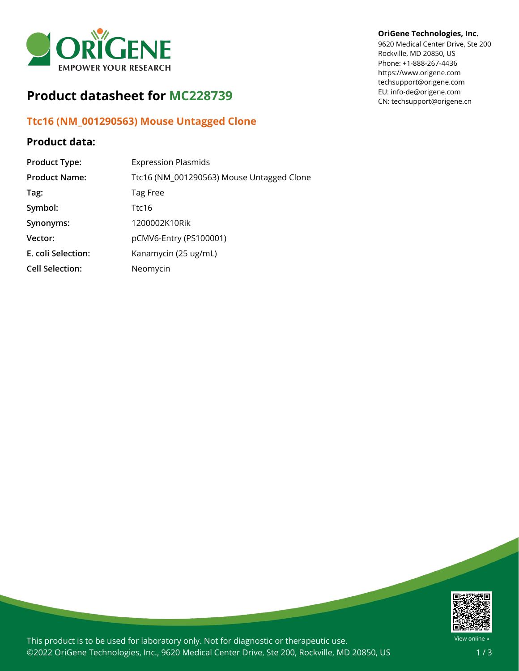

## **Product datasheet for MC228739**

## **Ttc16 (NM\_001290563) Mouse Untagged Clone**

## **Product data:**

| <b>Product Type:</b>   | <b>Expression Plasmids</b>                |
|------------------------|-------------------------------------------|
| <b>Product Name:</b>   | Ttc16 (NM_001290563) Mouse Untagged Clone |
| Tag:                   | Tag Free                                  |
| Symbol:                | Ttc16                                     |
| Synonyms:              | 1200002K10Rik                             |
| Vector:                | pCMV6-Entry (PS100001)                    |
| E. coli Selection:     | Kanamycin (25 ug/mL)                      |
| <b>Cell Selection:</b> | Neomycin                                  |

## **OriGene Technologies, Inc.**

9620 Medical Center Drive, Ste 200 Rockville, MD 20850, US Phone: +1-888-267-4436 https://www.origene.com techsupport@origene.com EU: info-de@origene.com CN: techsupport@origene.cn



This product is to be used for laboratory only. Not for diagnostic or therapeutic use. ©2022 OriGene Technologies, Inc., 9620 Medical Center Drive, Ste 200, Rockville, MD 20850, US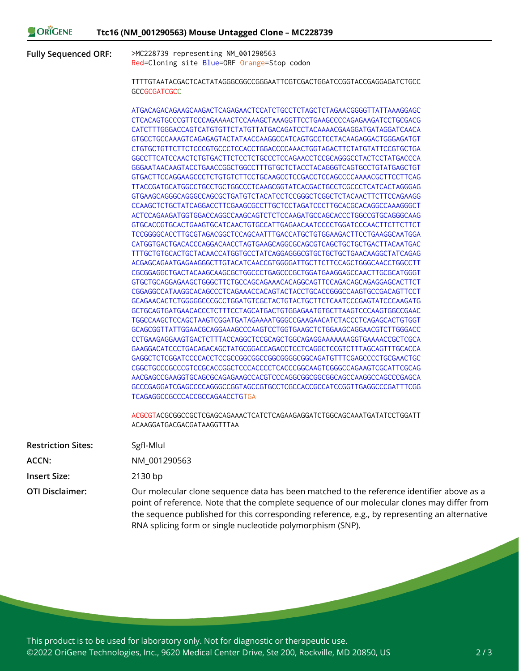**Fully Sequenced ORF:** >MC228739 representing NM\_001290563 Red=Cloning site Blue=ORF Orange=Stop codon

> TTTTGTAATACGACTCACTATAGGGCGGCCGGGAATTCGTCGACTGGATCCGGTACCGAGGAGATCTGCC **GCCGCGATCGCC**

> ATGACAGACAGAAGCAAGACTCAGAGAACTCCATCTGCCTCTAGCTCTAGAACGGGGTTATTAAAGGAGC CTCACAGTGCCCGTTCCCAGAAAACTCCAAAGCTAAAGGTTCCTGAAGCCCCAGAGAAGATCCTGCGACG CATCTTTGGGACCAGTCATGTGTTCTATGTTATGACAGATCCTACAAAACGAAGGATGATAGGATCAACA GTGCCTGCCAAAGTCAGAGAGTACTATAACCAAGGCCATCAGTGCCTCCTACAAGAGGACTGGGAGATGT CTGTGCTGTTCTTCTCCCGTGCCCTCCACCTGGACCCCAAACTGGTAGACTTCTATGTATTCCGTGCTGA GGCCTTCATCCAACTCTGTGACTTCTCCTCTGCCCTCCAGAACCTCCGCAGGGCCTACTCCTATGACCCA GGGAATAACAAGTACCTGAACCGGCTGGCCTTTGTGCTCTACCTACAGGGTCAGTGCCTGTATGAGCTGT GTGACTTCCAGGAAGCCCTCTGTGTCTTCCTGCAAGCCTCCGACCTCCAGCCCCAAAACGCTTCCTTCAG TTACCGATGCATGGCCTGCCTGCTGGCCCTCAAGCGGTATCACGACTGCCTCGCCCTCATCACTAGGGAG GTGAAGCAGGGCAGGGCCAGCGCTGATGTCTACATCCTCCGGGCTCGGCTCTACAACTTCTTCCAGAAGG CCAAGCTCTGCTATCAGGACCTTCGAAGCGCCTTGCTCCTAGATCCCTTGCACGCACAGGCCAAAGGGCT ACTCCAGAAGATGGTGGACCAGGCCAAGCAGTCTCTCCAAGATGCCAGCACCCTGGCCGTGCAGGGCAAG GTGCACCGTGCACTGAAGTGCATCAACTGTGCCATTGAGAACAATCCCCTGGATCCCAACTTCTTCTTCT TCCGGGGCACCTTGCGTAGACGGCTCCAGCAATTTGACCATGCTGTGGAAGACTTCCTGAAGGCAATGGA CATGGTGACTGACACCCAGGACAACCTAGTGAAGCAGGCGCAGCGTCAGCTGCTGCTGACTTACAATGAC TTTGCTGTGCACTGCTACAACCATGGTGCCTATCAGGAGGGCGTGCTGCTGCTGAACAAGGCTATCAGAG ACGAGCAGAATGAGAAGGGCTTGTACATCAACCGTGGGGATTGCTTCTTCCAGCTGGGCAACCTGGCCTT CGCGGAGGCTGACTACAAGCAAGCGCTGGCCCTGAGCCCGCTGGATGAAGGAGCCAACTTGCGCATGGGT GTGCTGCAGGAGAAGCTGGGCTTCTGCCAGCAGAAACACAGGCAGTTCCAGACAGCAGAGGAGCACTTCT CGGAGGCCATAAGGCACAGCCCTCAGAAACCACAGTACTACCTGCACCGGGCCAAGTGCCGACAGTTCCT GCAGAACACTCTGGGGGCCCGCCTGGATGTCGCTACTGTACTGCTTCTCAATCCCGAGTATCCCAAGATG GCTGCAGTGATGAACACCCTCTTTCCTAGCATGACTGTGGAGAATGTGCTTAAGTCCCAAGTGGCCGAAC TGGCCAAGCTCCAGCTAAGTCGGATGATAGAAAATGGGCCGAAGAACATCTACCCTCAGAGCACTGTGGT GCAGCGGTTATTGGAACGCAGGAAAGCCCAAGTCCTGGTGAAGCTCTGGAAGCAGGAACGTCTTGGGACC CCTGAAGAGGAAGTGACTCTTTACCAGGCTCCGCAGCTGGCAGAGGAAAAAAAGGTGAAAACCGCTCGCA GAAGGACATCCCTGACAGACAGCTATGCGGACCAGACCTCCTCAGGCTCCGTCTTTAGCAGTTTGCACCA GAGGCTCTCGGATCCCCACCTCCGCCGGCGGCCGGCGGGGCGGCAGATGTTTCGAGCCCCTGCGAACTGC CGGCTGCCCGCCCGTCCGCACCGGCTCCCACCCCTCACCCGGCAAGTCGGGCCAGAAGTCGCATTCGCAG AACGAGCCGAAGGTGCAGCGCAGAGAAGCCACGTCCCAGGCGGCGGCGGCAGCCAAGGCCAGCCCGAGCA GCCCGAGGATCGAGCCCCAGGGCCGGTAGCCGTGCCTCGCCACCGCCATCCGGTTGAGGCCCGATTTCGG TCAGAGGCCGCCCACCGCCAGAACCTGTGA

> ACGCGTACGCGGCCGCTCGAGCAGAAACTCATCTCAGAAGAGGATCTGGCAGCAAATGATATCCTGGATT ACAAGGATGACGACGATAAGGTTTAA

| <b>Restriction Sites:</b> | Sgfl-Mlul                                                                                                                                                                                                                                                                                                                                               |
|---------------------------|---------------------------------------------------------------------------------------------------------------------------------------------------------------------------------------------------------------------------------------------------------------------------------------------------------------------------------------------------------|
| ACCN:                     | NM 001290563                                                                                                                                                                                                                                                                                                                                            |
| <b>Insert Size:</b>       | $2130$ bp                                                                                                                                                                                                                                                                                                                                               |
| <b>OTI Disclaimer:</b>    | Our molecular clone sequence data has been matched to the reference identifier above as a<br>point of reference. Note that the complete sequence of our molecular clones may differ from<br>the sequence published for this corresponding reference, e.g., by representing an alternative<br>RNA splicing form or single nucleotide polymorphism (SNP). |

This product is to be used for laboratory only. Not for diagnostic or therapeutic use. ©2022 OriGene Technologies, Inc., 9620 Medical Center Drive, Ste 200, Rockville, MD 20850, US